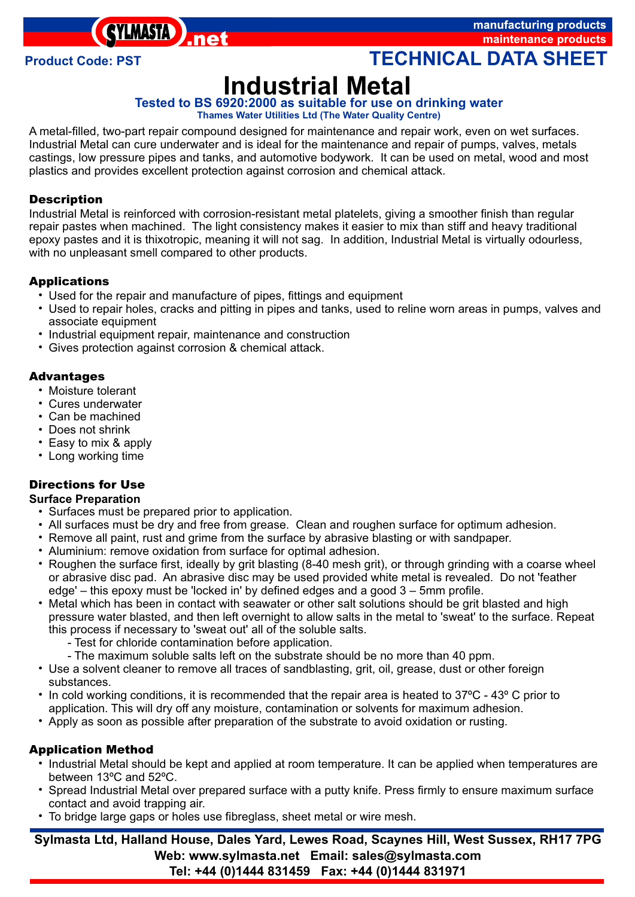**SYLMASTA** 

manufacturing products maintenance products

**Product Code: PST TECHNICAL DATA SHEET** 

# **Industrial Metal**

# **Tested to BS 6920:2000 as suitable for use on drinking water**

**Thames Water Utilities Ltd (The Water Quality Centre)**

A metal-filled, two-part repair compound designed for maintenance and repair work, even on wet surfaces. Industrial Metal can cure underwater and is ideal for the maintenance and repair of pumps, valves, metals castings, low pressure pipes and tanks, and automotive bodywork. It can be used on metal, wood and most plastics and provides excellent protection against corrosion and chemical attack.

### *Description*

Industrial Metal is reinforced with corrosion-resistant metal platelets, giving a smoother finish than regular repair pastes when machined. The light consistency makes it easier to mix than stiff and heavy traditional epoxy pastes and it is thixotropic, meaning it will not sag. In addition, Industrial Metal is virtually odourless, with no unpleasant smell compared to other products.

# **Applications**

- Used for the repair and manufacture of pipes, fittings and equipment
- **pplications**<br>• Used for the repair and manufacture of pipes, fittings and equipment<br>• Used to repair holes, cracks and pitting in pipes and tanks, used to reline worn areas in pumps, valves and associate equipment<br>
• Industrial equipment repair, maintenance and construction
- ??Industrial equipment repair, maintenance and construction Gives protection against corrosion & chemical attack.
- 

# *Advanta*

- **dvantages**<br>• Moisture to
- Moisture tolerant<br>• Cures underwate • Cures underwater<br>• Can be machined
- 
- Does not shrink
- Easy to mix & apply
- ?Easy to mix & apply Long working time

# *Directions for Use*

- **Surface Preparation**<br>• Surfaces must be prepared prior to application.
	- All surfaces must be dry and free from grease. Clean and roughen surface for optimum adhesion.
	- All surfaces must be dry and free from grease. Clean and roughen surface for optimum adhesion.<br>• Remove all paint, rust and grime from the surface by abrasive blasting or with sandpaper. • Remove all paint, rust and grime from the surface by abrasive blasting or with sandpaper.<br>• Aluminium: remove oxidation from surface for optimal adhesion.
	-
	- Aluminium: remove oxidation from surface for optimal adhesion.<br>• Roughen the surface first, ideally by grit blasting (8-40 mesh grit), or through grinding with a coarse wheel or abrasive disc pad. An abrasive disc may be used provided white metal is revealed. Do not 'feather edge' – this epoxy must be 'locked in' by defined edges and a good 3 – 5mm profile.
	- ?edge' this epoxy must be 'locked in' by defined edges and a good 3 5mm profile. Metal which has been in contact with seawater or other salt solutions should be grit blasted and high pressure water blasted, and then left overnight to allow salts in the metal to 'sweat' to the surface. Repeat this process if necessary to 'sweat out' all of the soluble salts.
		- Test for chloride contamination before application.
		-
	- ?- The maximum soluble salts left on the substrate should be no more than 40 ppm. Use a solvent cleaner to remove all traces of sandblasting, grit, oil, grease, dust or other foreign
	- ?substances. In cold working conditions, it is recommended that the repair area is heated to 37ºC 43º C prior to
	- ?application. This will dry off any moisture, contamination or solvents for maximum adhesion. Apply as soon as possible after preparation of the substrate to avoid oxidation or rusting.

# **Application Method**

- ?*pplication Method* Industrial Metal should be kept and applied at room temperature. It can be applied when temperatures are
- ?between 13ºC and 52ºC. Spread Industrial Metal over prepared surface with a putty knife. Press firmly to ensure maximum surface
- ?contact and avoid trapping air. To bridge large gaps or holes use fibreglass, sheet metal or wire mesh.

**Sylmasta Ltd, Halland House, Dales Yard, Lewes Road, Scaynes Hill, West Sussex, RH17 7PG Web: www.sylmasta.net Email: sales@sylmasta.com Tel: +44 (0)1444 831459 Fax: +44 (0)1444 831971**